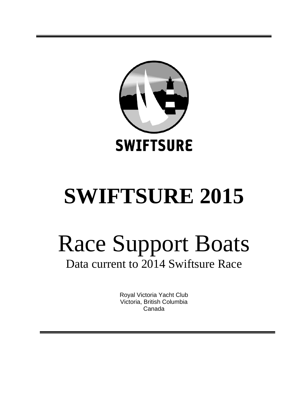

# **SWIFTSURE 2015**

# Race Support Boats Data current to 2014 Swiftsure Race

Royal Victoria Yacht Club Victoria, British Columbia Canada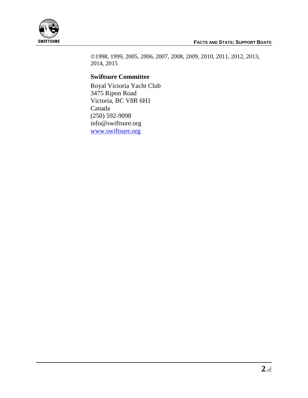

1998, 1999, 2005, 2006, 2007, 2008, 2009, 2010, 2011, 2012, 2013, 2014, 2015

## **Swiftsure Committee**

Royal Victoria Yacht Club 3475 Ripon Road Victoria, BC V8R 6H1 Canada (250) 592-9098 info@swiftsure.org [www.swiftsure.org](http://www.swiftsure.org/)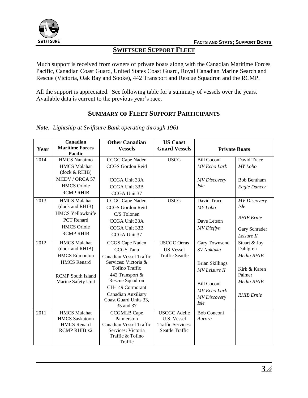

# **SWIFTSURE SUPPORT FLEET**

Much support is received from owners of private boats along with the Canadian Maritime Forces Pacific, Canadian Coast Guard, United States Coast Guard, Royal Canadian Marine Search and Rescue (Victoria, Oak Bay and Sooke), 442 Transport and Rescue Squadron and the RCMP.

All the support is appreciated. See following table for a summary of vessels over the years. Available data is current to the previous year's race.

# **SUMMARY OF FLEET SUPPORT PARTICIPANTS**

*Note: Lightship at Swiftsure Bank operating through 1961*

| Year | Canadian<br><b>Maritime Forces</b><br><b>Pacific</b> | <b>Other Canadian</b><br><b>Vessels</b>              | <b>US Coast</b><br><b>Guard Vessels</b>            | <b>Private Boats</b>   |                     |
|------|------------------------------------------------------|------------------------------------------------------|----------------------------------------------------|------------------------|---------------------|
| 2014 | <b>HMCS Nanaimo</b>                                  | CCGC Cape Naden                                      | <b>USCG</b>                                        | <b>Bill Coconi</b>     | David Trace         |
|      | <b>HMCS</b> Malahat<br>(dock & RHIB)                 | CCGS Gordon Reid                                     |                                                    | <b>MV</b> Echo Lark    | MY Lobo             |
|      | MCDV / ORCA 57                                       | CCGA Unit 33A                                        |                                                    | <b>MV</b> Discovery    | <b>Bob Bentham</b>  |
|      | <b>HMCS</b> Oriole                                   | CCGA Unit 33B                                        |                                                    | <i>Isle</i>            | Eagle Dancer        |
|      | <b>RCMP RHIB</b>                                     | CCGA Unit 37                                         |                                                    |                        |                     |
| 2013 | <b>HMCS Malahat</b>                                  | CCGC Cape Naden                                      | <b>USCG</b>                                        | David Trace            | <b>MV</b> Discovery |
|      | (dock and RHIB)                                      | CCGS Gordon Reid                                     |                                                    | MY Lobo                | <i>Isle</i>         |
|      | <b>HMCS Yellowknife</b>                              | C/S Tolonen                                          |                                                    |                        | <b>RHIB</b> Ernie   |
|      | PCT Renard                                           | CCGA Unit 33A                                        |                                                    | Dave Letson            |                     |
|      | <b>HMCS</b> Oriole                                   | CCGA Unit 33B                                        |                                                    | <b>MV</b> Dieflyn      | Gary Schrader       |
|      | <b>RCMP RHIB</b>                                     | CCGA Unit 37                                         |                                                    |                        | Leisure II          |
| 2012 | <b>HMCS</b> Malahat                                  | CCGS Cape Naden                                      | <b>USCGC</b> Orcas                                 | Gary Townsend          | Stuart & Joy        |
|      | (dock and RHIB)                                      | <b>CCGS</b> Tanu                                     | <b>US Vessel</b>                                   | SV Naktuka             | Dahlgren            |
|      | <b>HMCS</b> Edmonton                                 | <b>Canadian Vessel Traffic</b>                       | <b>Traffic Seattle</b>                             |                        | Media RHIB          |
|      | <b>HMCS</b> Renard                                   | Services: Victoria &                                 |                                                    | <b>Brian Skillings</b> |                     |
|      |                                                      | <b>Tofino Traffic</b>                                |                                                    | <b>MV</b> Leisure II   | Kirk & Karen        |
|      | <b>RCMP</b> South Island                             | 442 Transport &<br>Rescue Squadron                   |                                                    |                        | Palmer              |
|      | Marine Safety Unit                                   | CH-149 Cormorant                                     |                                                    | <b>Bill Coconi</b>     | Media RHIB          |
|      |                                                      | Canadian Auxiliary                                   |                                                    | <b>MV</b> Echo Lark    |                     |
|      |                                                      | Coast Guard Units 33,                                |                                                    | <b>MV</b> Discovery    | <b>RHIB</b> Ernie   |
|      |                                                      | 35 and 37                                            |                                                    | <i>Isle</i>            |                     |
| 2011 | <b>HMCS</b> Malahat                                  | <b>CCGMLB Cape</b>                                   | <b>USCGC</b> Adelie                                | <b>Bob Conconi</b>     |                     |
|      | <b>HMCS Saskatoon</b>                                | Palmerston                                           | U.S. Vessel                                        | Aurora                 |                     |
|      | <b>HMCS</b> Renard<br><b>RCMP RHIB x2</b>            | <b>Canadian Vessel Traffic</b><br>Services: Victoria | <b>Traffic Services:</b><br><b>Seattle Traffic</b> |                        |                     |
|      |                                                      | Traffic & Tofino                                     |                                                    |                        |                     |
|      |                                                      | Traffic                                              |                                                    |                        |                     |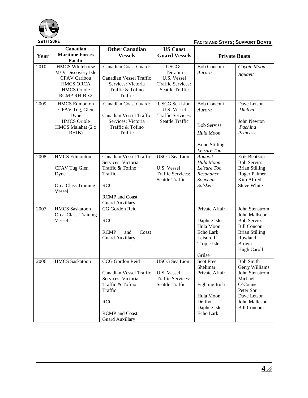

|      | Canadian                                                                                                                             | <b>Other Canadian</b>                                                                                                                                            | <b>US Coast</b>                                                                           |                                                                                                               |                                                                                                                                                        |
|------|--------------------------------------------------------------------------------------------------------------------------------------|------------------------------------------------------------------------------------------------------------------------------------------------------------------|-------------------------------------------------------------------------------------------|---------------------------------------------------------------------------------------------------------------|--------------------------------------------------------------------------------------------------------------------------------------------------------|
| Year | <b>Maritime Forces</b><br>Pacific                                                                                                    | <b>Vessels</b>                                                                                                                                                   | <b>Guard Vessels</b>                                                                      |                                                                                                               | <b>Private Boats</b>                                                                                                                                   |
| 2010 | <b>HMCS</b> Whitehorse<br>M/V Discovery Isle<br><b>CFAV Caribou</b><br><b>HMCS ORCA</b><br><b>HMCS</b> Oriole<br><b>RCMP RHIB x2</b> | Canadian Coast Guard:<br>Canadian Vessel Traffic<br>Services: Victoria<br>Traffic & Tofino<br>Traffic                                                            | <b>USCGC</b><br>Terrapin<br>U.S. Vessel<br><b>Traffic Services:</b><br>Seattle Traffic    | <b>Bob Conconi</b><br>Aurora                                                                                  | Coyote Moon<br>Aquavit                                                                                                                                 |
| 2009 | <b>HMCS</b> Edmonton<br>CFAV Tug, Glen<br>Dyne<br><b>HMCS</b> Oriole<br>HMCS Malahat (2 x<br>RHIB)                                   | Canadian Coast Guard:<br>Canadian Vessel Traffic<br>Services: Victoria<br>Traffic & Tofino<br>Traffic                                                            | <b>USCG</b> Sea Lion<br>U.S. Vessel<br><b>Traffic Services:</b><br>Seattle Traffic        | <b>Bob Conconi</b><br>Aurora<br><b>Bob Serviss</b><br>Hula Moon<br><b>Brian Stilling</b><br>Leisure Too       | Dave Letson<br>Dieflyn<br>John Newton<br>Pachina<br>Princess                                                                                           |
| 2008 | <b>HMCS</b> Edmonton<br>CFAV Tug Glen<br>Dyne<br>Orca Class Training<br>Vessel                                                       | <b>Canadian Vessel Traffic</b><br>Services: Victoria<br>Traffic & Tofino<br>Traffic<br><b>RCC</b><br><b>RCMP</b> and Coast<br><b>Guard Auxillary</b>             | <b>USCG</b> Sea Lion<br>U.S. Vessel<br><b>Traffic Services:</b><br>Seattle Traffic        | Aquavit<br>Hula Moon<br>Leisure Too<br>Resonance<br>Souvenir<br>Solsken                                       | Erik Bentzon<br><b>Bob Serviss</b><br><b>Brian Stilling</b><br>Roger Palmer<br>Kim Alfred<br><b>Steve White</b>                                        |
| 2007 | <b>HMCS</b> Saskatoon<br>Orca Class Training<br>Vessel                                                                               | CG Gordon Reid<br><b>RCC</b><br><b>RCMP</b><br>and<br>Coast<br><b>Guard Auxillary</b>                                                                            |                                                                                           | Private Affair<br>Daphne Isle<br>Hula Moon<br>Echo Lark<br>Leisure II<br>Tropic Isle<br>Grilse                | John Stenstrom<br>John Mallseon<br><b>Bob Serviss</b><br><b>Bill Conconi</b><br><b>Brian Stilling</b><br>Rowland<br><b>Brown</b><br><b>Hugh Caroll</b> |
| 2006 | <b>HMCS</b> Saskatoon                                                                                                                | CCG Gordon Reid<br>Canadian Vessel Traffic<br>Services: Victoria<br>Traffic & Tofino<br>Traffic<br><b>RCC</b><br><b>RCMP</b> and Coast<br><b>Guard Auxillary</b> | <b>USCG</b> Sea Lion<br>U.S. Vessel<br><b>Traffic Services:</b><br><b>Seattle Traffic</b> | Scot Free<br>Shelimar<br>Private Affair<br>Fighting Irish<br>Hula Moon<br>Deiflyn<br>Daphne Isle<br>Echo Lark | <b>Bob Smith</b><br>Gerry Williams<br>John Stenstrom<br>Michael<br>O'Conner<br>Peter Sou<br>Dave Letson<br>John Malleson<br><b>Bill Conconi</b>        |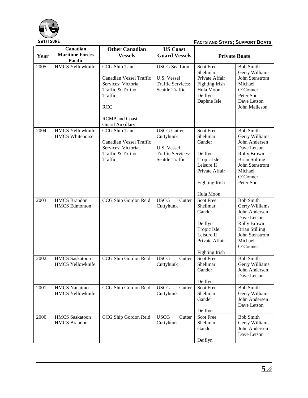

|      | Canadian                                          | <b>Other Canadian</b>                                                                                                                                                 | <b>US Coast</b>                                                                               |                                                                                                                                 |                                                                                                                                                                  |
|------|---------------------------------------------------|-----------------------------------------------------------------------------------------------------------------------------------------------------------------------|-----------------------------------------------------------------------------------------------|---------------------------------------------------------------------------------------------------------------------------------|------------------------------------------------------------------------------------------------------------------------------------------------------------------|
| Year | <b>Maritime Forces</b><br>Pacific                 | <b>Vessels</b>                                                                                                                                                        | <b>Guard Vessels</b>                                                                          | <b>Private Boats</b>                                                                                                            |                                                                                                                                                                  |
| 2005 | <b>HMCS Yellowknife</b>                           | CCG Ship Tanu<br><b>Canadian Vessel Traffic</b><br>Services: Victoria<br>Traffic & Tofino<br>Traffic<br><b>RCC</b><br><b>RCMP</b> and Coast<br><b>Guard Auxillary</b> | <b>USCG</b> Sea Lion<br>U.S. Vessel<br><b>Traffic Services:</b><br><b>Seattle Traffic</b>     | <b>Scot Free</b><br>Shelimar<br>Private Affair<br><b>Fighting Irish</b><br>Hula Moon<br>Deiflyn<br>Daphne Isle                  | <b>Bob Smith</b><br>Gerry Williams<br>John Stenstrom<br>Michael<br>O'Conner<br>Peter Sou<br>Dave Letson<br>John Malleson                                         |
| 2004 | <b>HMCS Yellowknife</b><br><b>HMCS Whitehorse</b> | CCG Ship Tanu<br><b>Canadian Vessel Traffic</b><br>Services: Victoria<br>Traffic & Tofino<br>Traffic                                                                  | <b>USCG</b> Cutter<br>Cuttyhunk<br>U.S. Vessel<br><b>Traffic Services:</b><br>Seattle Traffic | Scot Free<br>Shelimar<br>Gander<br>Deiflyn<br>Tropic Isle<br>Leisure II<br>Private Affair<br><b>Fighting Irish</b><br>Hula Moon | <b>Bob Smith</b><br>Gerry Williams<br>John Andersen<br>Dave Letson<br>Rolly Brown<br><b>Brian Stilling</b><br>John Stenstrom<br>Michael<br>O'Conner<br>Peter Sou |
| 2003 | <b>HMCS</b> Brandon<br><b>HMCS</b> Edmonton       | CCG Ship Gordon Reid                                                                                                                                                  | <b>USCG</b><br>Cutter<br>Cuttyhunk                                                            | <b>Scot Free</b><br>Shelimar<br>Gander<br>Deiflyn<br>Tropic Isle<br>Leisure II<br>Private Affair<br><b>Fighting Irish</b>       | <b>Bob Smith</b><br>Gerry Williams<br>John Andersen<br>Dave Letson<br>Rolly Brown<br><b>Brian Stilling</b><br>John Stenstrom<br>Michael<br>O'Conner              |
| 2002 | <b>HMCS</b> Saskatoon<br><b>HMCS Yellowknife</b>  | CCG Ship Gordon Reid                                                                                                                                                  | <b>USCG</b><br>Cutter<br>Cuttyhunk                                                            | <b>Scot Free</b><br>Shelimar<br>Gander<br>Deiflyn                                                                               | <b>Bob Smith</b><br>Gerry Williams<br>John Andersen<br>Dave Letson                                                                                               |
| 2001 | <b>HMCS</b> Nanaimo<br><b>HMCS Yellowknife</b>    | CCG Ship Gordon Reid                                                                                                                                                  | <b>USCG</b><br>Cutter<br>Cuttyhunk                                                            | <b>Scot Free</b><br>Shelimar<br>Gander<br>Deiflyn                                                                               | <b>Bob Smith</b><br>Gerry Williams<br>John Andersen<br>Dave Letson                                                                                               |
| 2000 | <b>HMCS</b> Saskatoon<br><b>HMCS</b> Brandon      | CCG Ship Gordon Reid                                                                                                                                                  | <b>USCG</b><br>Cutter<br>Cuttyhunk                                                            | Scot Free<br>Shelimar<br>Gander<br>Deiflyn                                                                                      | <b>Bob Smith</b><br>Gerry Williams<br>John Andersen<br>Dave Letson                                                                                               |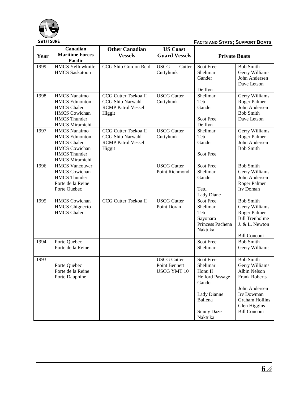

**FACTS AND STATS; SUPPORT BOATS**

|      | Canadian                                                                                                                                   | <b>Other Canadian</b>                                                           | <b>US Coast</b>                                           |                                                                                                                                       |                                                                                                                                                                           |
|------|--------------------------------------------------------------------------------------------------------------------------------------------|---------------------------------------------------------------------------------|-----------------------------------------------------------|---------------------------------------------------------------------------------------------------------------------------------------|---------------------------------------------------------------------------------------------------------------------------------------------------------------------------|
| Year | <b>Maritime Forces</b><br>Pacific                                                                                                          | <b>Vessels</b>                                                                  | <b>Guard Vessels</b>                                      | <b>Private Boats</b>                                                                                                                  |                                                                                                                                                                           |
| 1999 | <b>HMCS Yellowknife</b><br><b>HMCS</b> Saskatoon                                                                                           | CCG Ship Gordon Reid                                                            | <b>USCG</b><br>Cutter<br>Cuttyhunk                        | Scot Free<br>Shelimar<br>Gander                                                                                                       | <b>Bob Smith</b><br>Gerry Williams<br>John Andersen                                                                                                                       |
|      |                                                                                                                                            |                                                                                 |                                                           | Deiflyn                                                                                                                               | Dave Letson                                                                                                                                                               |
| 1998 | <b>HMCS</b> Nanaimo<br><b>HMCS</b> Edmonton<br><b>HMCS</b> Chaleur<br><b>HMCS</b> Cowichan<br><b>HMCS</b> Thunder<br>HMCS Miramichi        | CCG Cutter Tsekoa II<br>CCG Ship Narwahl<br><b>RCMP Patrol Vessel</b><br>Higgit | <b>USCG Cutter</b><br>Cuttyhunk                           | Shelimar<br>Tetu<br>Gander<br><b>Scot Free</b><br>Deiflyn                                                                             | Gerry Williams<br>Roger Palmer<br>John Andersen<br><b>Bob Smith</b><br>Dave Letson                                                                                        |
| 1997 | <b>HMCS</b> Nanaimo<br><b>HMCS</b> Edmonton<br><b>HMCS</b> Chaleur<br><b>HMCS</b> Cowichan<br><b>HMCS</b> Thunder<br><b>HMCS</b> Miramichi | CCG Cutter Tsekoa II<br>CCG Ship Narwahl<br><b>RCMP</b> Patrol Vessel<br>Higgit | <b>USCG Cutter</b><br>Cuttyhunk                           | Shelimar<br>Tetu<br>Gander<br>Scot Free                                                                                               | Gerry Williams<br>Roger Palmer<br>John Andersen<br><b>Bob Smith</b>                                                                                                       |
| 1996 | <b>HMCS Vancouver</b><br><b>HMCS</b> Cowichan<br><b>HMCS</b> Thunder<br>Porte de la Reine<br>Porte Quebec                                  |                                                                                 | <b>USCG Cutter</b><br>Point Richmond                      | <b>Scot Free</b><br>Shelimar<br>Gander<br>Tetu<br>Lady Diane                                                                          | <b>Bob Smith</b><br>Gerry Williams<br>John Andersen<br>Roger Palmer<br>Irv Doman                                                                                          |
| 1995 | <b>HMCS</b> Cowichan<br><b>HMCS</b> Chignecto<br><b>HMCS</b> Chaleur                                                                       | CCG Cutter Tsekoa II                                                            | <b>USCG Cutter</b><br>Point Doran                         | <b>Scot Free</b><br>Shelimar<br>Tetu<br>Sayonara<br>Princess Pachena<br>Naktuka                                                       | <b>Bob Smith</b><br>Gerry Williams<br>Roger Palmer<br><b>Bill Trenholme</b><br>J. & L. Newton<br><b>Bill Conconi</b>                                                      |
| 1994 | Porte Quebec<br>Porte de la Reine                                                                                                          |                                                                                 |                                                           | Scot Free<br>Shelimar                                                                                                                 | <b>Bob Smith</b><br>Gerry Williams                                                                                                                                        |
| 1993 | Porte Quebec<br>Porte de la Reine<br>Porte Dauphine                                                                                        |                                                                                 | <b>USCG Cutter</b><br>Point Bennett<br><b>USCG YMT 10</b> | <b>Scot Free</b><br>Shelimar<br>Honu II<br><b>Helford Passage</b><br>Gander<br>Lady Dianne<br>Ballena<br><b>Sunny Daze</b><br>Naktuka | <b>Bob Smith</b><br>Gerry Williams<br>Albin Nelson<br><b>Frank Roberts</b><br>John Andersen<br>Irv Dowman<br><b>Graham Hollins</b><br>Glen Higgins<br><b>Bill Conconi</b> |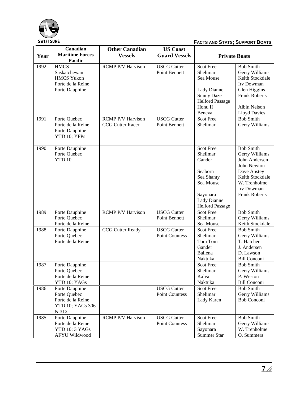

|      | Canadian                                                                                | <b>Other Canadian</b>                               | <b>US Coast</b>                             |                                                                                                                              |                                                                                                                                                            |
|------|-----------------------------------------------------------------------------------------|-----------------------------------------------------|---------------------------------------------|------------------------------------------------------------------------------------------------------------------------------|------------------------------------------------------------------------------------------------------------------------------------------------------------|
| Year | <b>Maritime Forces</b><br><b>Pacific</b>                                                | <b>Vessels</b>                                      | <b>Guard Vessels</b>                        | <b>Private Boats</b>                                                                                                         |                                                                                                                                                            |
| 1992 | <b>HMCS</b><br>Saskatchewan<br><b>HMCS Yukon</b><br>Porte de la Reine<br>Porte Dauphine | <b>RCMP P/V Harvison</b>                            | <b>USCG Cutter</b><br>Point Bennett         | <b>Scot Free</b><br>Shelimar<br>Sea Mouse<br>Lady Dianne<br><b>Sunny Daze</b><br><b>Helford Passage</b><br>Honu II<br>Beneva | <b>Bob Smith</b><br>Gerry Williams<br>Keith Stockdale<br>Irv Dowman<br>Glen Higgins<br><b>Frank Roberts</b><br>Albin Nelson<br><b>Lloyd Davies</b>         |
| 1991 | Porte Quebec<br>Porte de la Reine<br>Porte Dauphine<br>YTD 10; YFPs                     | <b>RCMP P/V Harvison</b><br><b>CCG Cutter Racer</b> | <b>USCG Cutter</b><br>Point Bennett         | <b>Scot Free</b><br>Shelimar                                                                                                 | <b>Bob Smith</b><br>Gerry Williams                                                                                                                         |
| 1990 | Porte Dauphine<br>Porte Quebec<br>YTD 10                                                |                                                     |                                             | Scot Free<br>Shelimar<br>Gander<br>Seaborn<br>Sea Shanty<br>Sea Mouse<br>Sayonara<br>Lady Dianne<br><b>Helford Passage</b>   | <b>Bob Smith</b><br>Gerry Williams<br>John Andersen<br>John Newton<br>Dave Anstey<br>Keith Stockdale<br>W. Trenholme<br>Irv Dowman<br><b>Frank Roberts</b> |
| 1989 | Porte Dauphine<br>Porte Quebec<br>Porte de la Reine                                     | <b>RCMP P/V Harvison</b>                            | <b>USCG Cutter</b><br>Point Bennett         | <b>Scot Free</b><br>Shelimar<br>Sea Mouse                                                                                    | <b>Bob Smith</b><br>Gerry Williams<br>Keith Stockdale                                                                                                      |
| 1988 | Porte Dauphine<br>Porte Quebec<br>Porte de la Reine                                     | <b>CCG Cutter Ready</b>                             | <b>USCG Cutter</b><br>Point Countess        | <b>Scot Free</b><br>Shelimar<br>Tom Tom<br>Gander<br>Ballena<br>Naktuka                                                      | <b>Bob Smith</b><br>Gerry Williams<br>T. Hatcher<br>J. Andersen<br>D. Lawson<br><b>Bill Conconi</b>                                                        |
| 1987 | Porte Dauphine<br>Porte Quebec<br>Porte de la Reine<br>YTD 10; YAGs                     |                                                     |                                             | Scot Free<br>Shelimar<br>Kalva<br>Naktuka                                                                                    | <b>Bob Smith</b><br>Gerry Williams<br>P. Weston<br><b>Bill Conconi</b>                                                                                     |
| 1986 | Porte Dauphine<br>Porte Quebec<br>Porte de la Reine<br><b>YTD 10; YAGs 306</b><br>& 312 |                                                     | <b>USCG Cutter</b><br>Point Countess        | <b>Scot Free</b><br>Shelimar<br>Lady Karen                                                                                   | <b>Bob Smith</b><br>Gerry Williams<br><b>Bob Conconi</b>                                                                                                   |
| 1985 | Porte Dauphine<br>Porte de la Reine<br>YTD 10; 3 YAGs<br><b>AFYU Wildwood</b>           | RCMP P/V Harvison                                   | <b>USCG Cutter</b><br><b>Point Countess</b> | Scot Free<br>Shelimar<br>Sayonara<br>Summer Star                                                                             | <b>Bob Smith</b><br>Gerry Williams<br>W. Trenholme<br>O. Summers                                                                                           |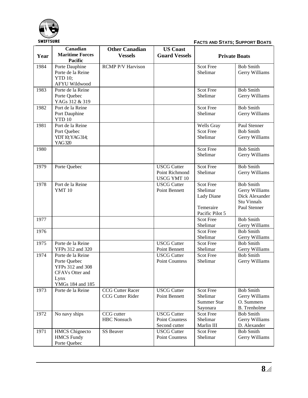

**FACTS AND STATS; SUPPORT BOATS**

|      | Canadian                                                                                             | <b>Other Canadian</b>                       | <b>US Coast</b>                                            |                                                         |                                                                                            |
|------|------------------------------------------------------------------------------------------------------|---------------------------------------------|------------------------------------------------------------|---------------------------------------------------------|--------------------------------------------------------------------------------------------|
| Year | <b>Maritime Forces</b><br><b>Pacific</b>                                                             | <b>Vessels</b>                              | <b>Guard Vessels</b>                                       | <b>Private Boats</b>                                    |                                                                                            |
| 1984 | Porte Dauphine<br>Porte de la Reine<br><b>YTD 10;</b><br>AFYU Wildwood                               | <b>RCMP P/V Harvison</b>                    |                                                            | <b>Scot Free</b><br>Shelimar                            | <b>Bob Smith</b><br>Gerry Williams                                                         |
| 1983 | Porte de la Reine<br>Porte Quebec<br>YAGs 312 & 319                                                  |                                             |                                                            | <b>Scot Free</b><br>Shelimar                            | <b>Bob Smith</b><br>Gerry Williams                                                         |
| 1982 | Port de la Reine<br>Port Dauphine<br>YTD 10                                                          |                                             |                                                            | <b>Scot Free</b><br>Shelimar                            | <b>Bob Smith</b><br>Gerry Williams                                                         |
| 1981 | Port de la Reine<br>Port Quebec<br>YDT 10; YAG314;<br>YAG320                                         |                                             |                                                            | Wells Gray<br><b>Scot Free</b><br>Shelimar              | Paul Stenner<br><b>Bob Smith</b><br>Gerry Williams                                         |
| 1980 |                                                                                                      |                                             |                                                            | <b>Scot Free</b><br>Shelimar                            | <b>Bob Smith</b><br>Gerry Williams                                                         |
| 1979 | Porte Quebec                                                                                         |                                             | <b>USCG Cutter</b><br>Point Richmond<br><b>USCG YMT 10</b> | <b>Scot Free</b><br>Shelimar                            | <b>Bob Smith</b><br>Gerry Williams                                                         |
| 1978 | Port de la Reine<br><b>YMT 10</b>                                                                    |                                             | <b>USCG Cutter</b><br>Point Bennett                        | <b>Scot Free</b><br>Shelimar<br>Lady Diane<br>Temeraire | <b>Bob Smith</b><br>Gerry Williams<br>Dick Alexander<br><b>Stu Vinnals</b><br>Paul Stenner |
| 1977 |                                                                                                      |                                             |                                                            | Pacific Pilot 5<br><b>Scot Free</b><br>Shelimar         | <b>Bob Smith</b><br>Gerry Williams                                                         |
| 1976 |                                                                                                      |                                             |                                                            | <b>Scot Free</b><br>Shelimar                            | <b>Bob Smith</b><br>Gerry Williams                                                         |
| 1975 | Porte de la Reine<br>YFPs 312 and 320                                                                |                                             | <b>USCG Cutter</b><br><b>Point Bennett</b>                 | <b>Scot Free</b><br>Shelimar                            | <b>Bob Smith</b><br>Gerry Williams                                                         |
| 1974 | Porte de la Reine<br>Porte Quebec<br>YFPs 312 and 308<br>CFAVs Otter and<br>Lynx<br>YMGs 184 and 185 |                                             | <b>USCG Cutter</b><br><b>Point Countess</b>                | <b>Scot Free</b><br>Shelimar                            | <b>Bob Smith</b><br>Gerry Williams                                                         |
| 1973 | Porte de la Reine                                                                                    | <b>CCG Cutter Racer</b><br>CCG Cutter Rider | <b>USCG</b> Cutter<br>Point Bennett                        | Scot Free<br>Shelimar<br><b>Summer Star</b><br>Sayonara | <b>Bob Smith</b><br>Gerry Williams<br>O. Summers<br><b>B.</b> Trenholme                    |
| 1972 | No navy ships                                                                                        | CCG cutter<br><b>HBC</b> Nonsuch            | <b>USCG Cutter</b><br>Point Countess<br>Second cutter      | <b>Scot Free</b><br>Shelimar<br>Marlin III              | <b>Bob Smith</b><br>Gerry Williams<br>D. Alexander                                         |
| 1971 | <b>HMCS</b> Chignecto<br><b>HMCS</b> Fundy<br>Porte Quebec                                           | SS Beaver                                   | <b>USCG</b> Cutter<br>Point Countess                       | Scot Free<br>Shelimar                                   | <b>Bob Smith</b><br>Gerry Williams                                                         |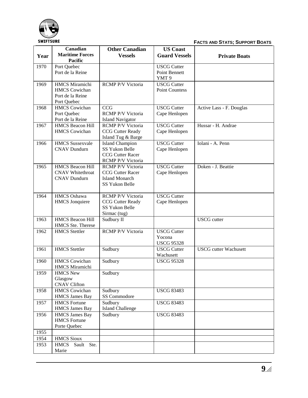

**FACTS AND STATS; SUPPORT BOATS**

|      | Canadian                                           | <b>Other Canadian</b>                        | <b>US Coast</b>              |                              |
|------|----------------------------------------------------|----------------------------------------------|------------------------------|------------------------------|
| Year | <b>Maritime Forces</b><br>Pacific                  | <b>Vessels</b>                               | <b>Guard Vessels</b>         | <b>Private Boats</b>         |
| 1970 | Port Quebec                                        |                                              | <b>USCG Cutter</b>           |                              |
|      | Port de la Reine                                   |                                              | Point Bennett                |                              |
|      |                                                    |                                              | YMT <sub>9</sub>             |                              |
| 1969 | <b>HMCS</b> Miramichi                              | <b>RCMP P/V Victoria</b>                     | <b>USCG Cutter</b>           |                              |
|      | <b>HMCS</b> Cowichan                               |                                              | <b>Point Countess</b>        |                              |
|      | Port de la Reine<br>Port Quebec                    |                                              |                              |                              |
| 1968 | <b>HMCS</b> Cowichan                               | <b>CCG</b>                                   | <b>USCG</b> Cutter           | Active Lass - F. Douglas     |
|      | Port Quebec                                        | <b>RCMP P/V Victoria</b>                     | Cape Henlopen                |                              |
|      | Port de la Reine                                   | <b>Island Navigator</b>                      |                              |                              |
| 1967 | <b>HMCS Beacon Hill</b>                            | <b>RCMP P/V Victoria</b>                     | <b>USCG Cutter</b>           | Hussar - H. Andrae           |
|      | <b>HMCS</b> Cowichan                               | <b>CCG</b> Cutter Ready                      | Cape Henlopen                |                              |
|      |                                                    | Island Tug & Barge                           |                              |                              |
| 1966 | <b>HMCS</b> Sussexvale                             | <b>Island Champion</b>                       | <b>USCG Cutter</b>           | Iolani - A. Penn             |
|      | <b>CNAV Dundurn</b>                                | <b>SS Yukon Belle</b>                        | Cape Henlopen                |                              |
|      |                                                    | <b>CCG Cutter Racer</b>                      |                              |                              |
|      |                                                    | <b>RCMP P/V Victoria</b>                     |                              |                              |
| 1965 | <b>HMCS Beacon Hill</b><br><b>CNAV</b> Whitethroat | RCMP P/V Victoria<br><b>CCG Cutter Racer</b> | <b>USCG Cutter</b>           | Doken - J. Beattie           |
|      | <b>CNAV Dundurn</b>                                | <b>Island Monarch</b>                        | Cape Henlopen                |                              |
|      |                                                    | SS Yukon Belle                               |                              |                              |
|      |                                                    |                                              |                              |                              |
| 1964 | <b>HMCS</b> Oshawa                                 | RCMP P/V Victoria                            | <b>USCG Cutter</b>           |                              |
|      | <b>HMCS</b> Jonquiere                              | <b>CCG</b> Cutter Ready                      | Cape Henlopen                |                              |
|      |                                                    | <b>SS Yukon Belle</b>                        |                              |                              |
|      |                                                    | Sirmac (tug)                                 |                              |                              |
| 1963 | <b>HMCS Beacon Hill</b>                            | Sudbury II                                   |                              | <b>USCG</b> cutter           |
|      | HMCS Ste. Therese                                  |                                              |                              |                              |
| 1962 | <b>HMCS</b> Stettler                               | <b>RCMP P/V Victoria</b>                     | <b>USCG</b> Cutter<br>Yocona |                              |
|      |                                                    |                                              | <b>USCG 95328</b>            |                              |
| 1961 | <b>HMCS</b> Stettler                               | Sudbury                                      | <b>USCG Cutter</b>           | <b>USCG</b> cutter Wachusett |
|      |                                                    |                                              | Wachusett                    |                              |
| 1960 | <b>HMCS</b> Cowichan                               | Sudbury                                      | <b>USCG 95328</b>            |                              |
|      | <b>HMCS Miramichi</b>                              |                                              |                              |                              |
| 1959 | <b>HMCS New</b>                                    | Sudbury                                      |                              |                              |
|      | Glasgow                                            |                                              |                              |                              |
|      | <b>CNAV Clifton</b>                                |                                              |                              |                              |
| 1958 | <b>HMCS</b> Cowichan                               | Sudbury<br>SS Commodore                      | <b>USCG 83483</b>            |                              |
| 1957 | <b>HMCS James Bay</b><br><b>HMCS</b> Fortune       | Sudbury                                      | <b>USCG 83483</b>            |                              |
|      | <b>HMCS James Bay</b>                              | <b>Island Challenge</b>                      |                              |                              |
| 1956 | <b>HMCS James Bay</b>                              | Sudbury                                      | <b>USCG 83483</b>            |                              |
|      | <b>HMCS</b> Fortune                                |                                              |                              |                              |
|      | Porte Quebec                                       |                                              |                              |                              |
| 1955 |                                                    |                                              |                              |                              |
| 1954 | <b>HMCS Sioux</b>                                  |                                              |                              |                              |
| 1953 | <b>HMCS</b><br>Sault Ste.                          |                                              |                              |                              |
|      | Marie                                              |                                              |                              |                              |